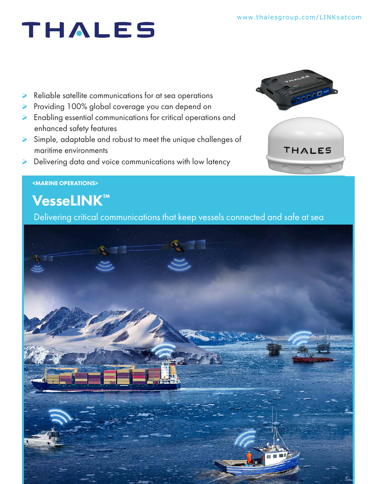# THALES

- Reliable satellite communications for at sea operations
- Providing 100% global coverage you can depend on
- Enabling essential communications for critical operations and enhanced safety features
- Simple, adaptable and robust to meet the unique challenges of maritime environments
- Delivering data and voice communications with low latency





### <MARINE OPERATIONS>

## VesseLINK™

Delivering critical communications that keep vessels connected and safe at sea